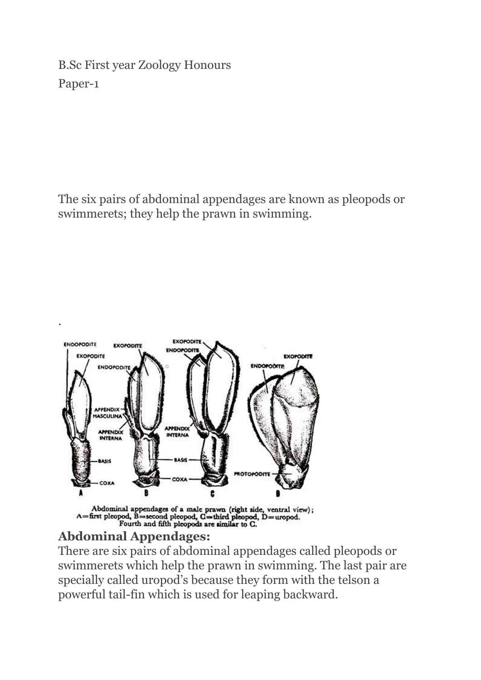B.Sc First year Zoology Honours Paper-1

The six pairs of abdominal appendages are known as pleopods or swimmerets; they help the prawn in swimming.



Abdominal appendages of a male prawn (right side, ventral view);<br>A=first pleopod, B=second pleopod,  $C =$ third pleopod, D=uropod.<br>Fourth and fifth pleopods are similar to C.

## **Abdominal Appendages:**

.

There are six pairs of abdominal appendages called pleopods or swimmerets which help the prawn in swimming. The last pair are specially called uropod's because they form with the telson a powerful tail-fin which is used for leaping backward.